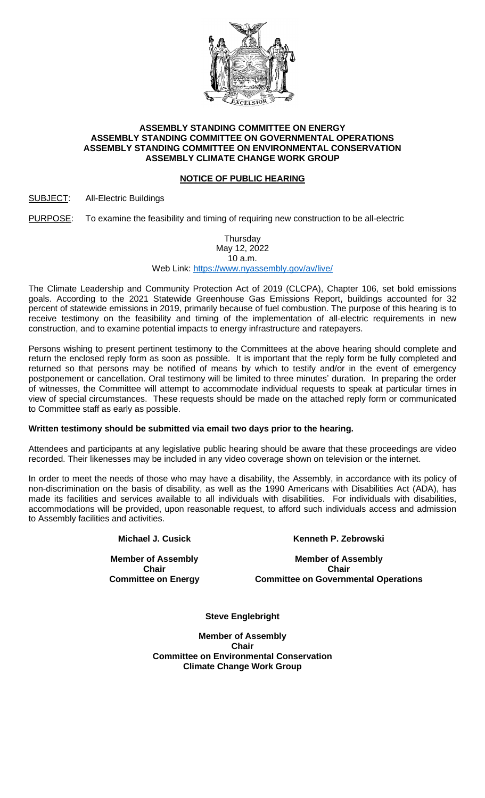

### **ASSEMBLY STANDING COMMITTEE ON ENERGY ASSEMBLY STANDING COMMITTEE ON GOVERNMENTAL OPERATIONS ASSEMBLY STANDING COMMITTEE ON ENVIRONMENTAL CONSERVATION ASSEMBLY CLIMATE CHANGE WORK GROUP**

# **NOTICE OF PUBLIC HEARING**

## SUBJECT: All-Electric Buildings

PURPOSE: To examine the feasibility and timing of requiring new construction to be all-electric

#### Thursday May 12, 2022 10 a.m. Web Link:<https://www.nyassembly.gov/av/live/>

The Climate Leadership and Community Protection Act of 2019 (CLCPA), Chapter 106, set bold emissions goals. According to the 2021 Statewide Greenhouse Gas Emissions Report, buildings accounted for 32 percent of statewide emissions in 2019, primarily because of fuel combustion. The purpose of this hearing is to receive testimony on the feasibility and timing of the implementation of all-electric requirements in new construction, and to examine potential impacts to energy infrastructure and ratepayers.

Persons wishing to present pertinent testimony to the Committees at the above hearing should complete and return the enclosed reply form as soon as possible. It is important that the reply form be fully completed and returned so that persons may be notified of means by which to testify and/or in the event of emergency postponement or cancellation. Oral testimony will be limited to three minutes' duration. In preparing the order of witnesses, the Committee will attempt to accommodate individual requests to speak at particular times in view of special circumstances. These requests should be made on the attached reply form or communicated to Committee staff as early as possible.

### **Written testimony should be submitted via email two days prior to the hearing.**

Attendees and participants at any legislative public hearing should be aware that these proceedings are video recorded. Their likenesses may be included in any video coverage shown on television or the internet.

In order to meet the needs of those who may have a disability, the Assembly, in accordance with its policy of non-discrimination on the basis of disability, as well as the 1990 Americans with Disabilities Act (ADA), has made its facilities and services available to all individuals with disabilities. For individuals with disabilities, accommodations will be provided, upon reasonable request, to afford such individuals access and admission to Assembly facilities and activities.

**Michael J. Cusick**

**Member of Assembly Chair Committee on Energy** **Kenneth P. Zebrowski**

**Member of Assembly Chair Committee on Governmental Operations**

**Steve Englebright**

**Member of Assembly Chair Committee on Environmental Conservation Climate Change Work Group**